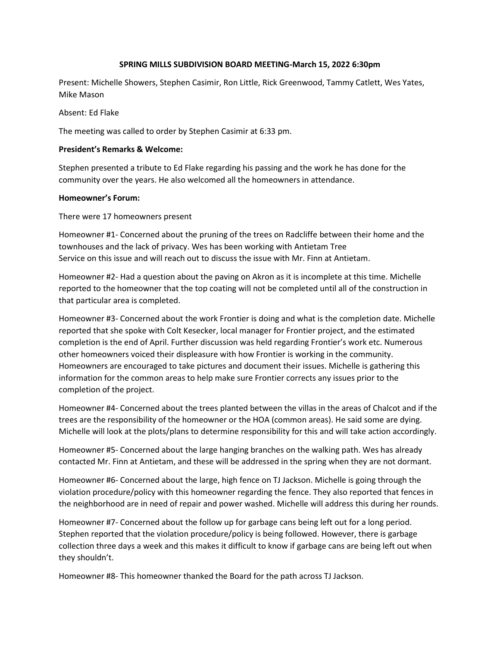### **SPRING MILLS SUBDIVISION BOARD MEETING-March 15, 2022 6:30pm**

Present: Michelle Showers, Stephen Casimir, Ron Little, Rick Greenwood, Tammy Catlett, Wes Yates, Mike Mason

Absent: Ed Flake

The meeting was called to order by Stephen Casimir at 6:33 pm.

# **President's Remarks & Welcome:**

Stephen presented a tribute to Ed Flake regarding his passing and the work he has done for the community over the years. He also welcomed all the homeowners in attendance.

# **Homeowner's Forum:**

There were 17 homeowners present

Homeowner #1- Concerned about the pruning of the trees on Radcliffe between their home and the townhouses and the lack of privacy. Wes has been working with Antietam Tree Service on this issue and will reach out to discuss the issue with Mr. Finn at Antietam.

Homeowner #2- Had a question about the paving on Akron as it is incomplete at this time. Michelle reported to the homeowner that the top coating will not be completed until all of the construction in that particular area is completed.

Homeowner #3- Concerned about the work Frontier is doing and what is the completion date. Michelle reported that she spoke with Colt Kesecker, local manager for Frontier project, and the estimated completion is the end of April. Further discussion was held regarding Frontier's work etc. Numerous other homeowners voiced their displeasure with how Frontier is working in the community. Homeowners are encouraged to take pictures and document their issues. Michelle is gathering this information for the common areas to help make sure Frontier corrects any issues prior to the completion of the project.

Homeowner #4- Concerned about the trees planted between the villas in the areas of Chalcot and if the trees are the responsibility of the homeowner or the HOA (common areas). He said some are dying. Michelle will look at the plots/plans to determine responsibility for this and will take action accordingly.

Homeowner #5- Concerned about the large hanging branches on the walking path. Wes has already contacted Mr. Finn at Antietam, and these will be addressed in the spring when they are not dormant.

Homeowner #6- Concerned about the large, high fence on TJ Jackson. Michelle is going through the violation procedure/policy with this homeowner regarding the fence. They also reported that fences in the neighborhood are in need of repair and power washed. Michelle will address this during her rounds.

Homeowner #7- Concerned about the follow up for garbage cans being left out for a long period. Stephen reported that the violation procedure/policy is being followed. However, there is garbage collection three days a week and this makes it difficult to know if garbage cans are being left out when they shouldn't.

Homeowner #8- This homeowner thanked the Board for the path across TJ Jackson.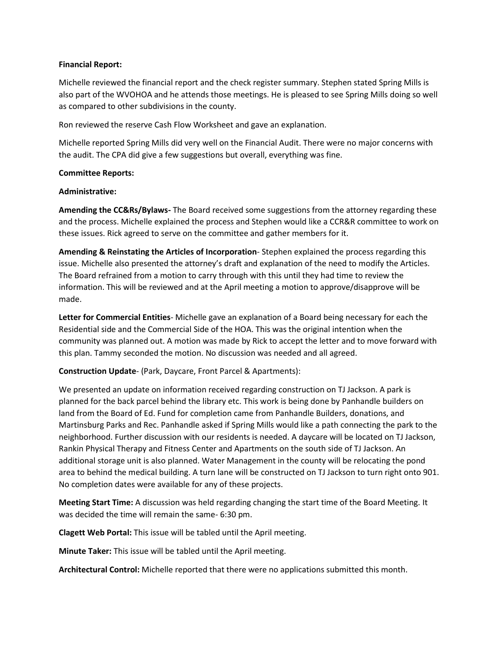#### **Financial Report:**

Michelle reviewed the financial report and the check register summary. Stephen stated Spring Mills is also part of the WVOHOA and he attends those meetings. He is pleased to see Spring Mills doing so well as compared to other subdivisions in the county.

Ron reviewed the reserve Cash Flow Worksheet and gave an explanation.

Michelle reported Spring Mills did very well on the Financial Audit. There were no major concerns with the audit. The CPA did give a few suggestions but overall, everything was fine.

#### **Committee Reports:**

#### **Administrative:**

**Amending the CC&Rs/Bylaws-** The Board received some suggestions from the attorney regarding these and the process. Michelle explained the process and Stephen would like a CCR&R committee to work on these issues. Rick agreed to serve on the committee and gather members for it.

**Amending & Reinstating the Articles of Incorporation**- Stephen explained the process regarding this issue. Michelle also presented the attorney's draft and explanation of the need to modify the Articles. The Board refrained from a motion to carry through with this until they had time to review the information. This will be reviewed and at the April meeting a motion to approve/disapprove will be made.

**Letter for Commercial Entities**- Michelle gave an explanation of a Board being necessary for each the Residential side and the Commercial Side of the HOA. This was the original intention when the community was planned out. A motion was made by Rick to accept the letter and to move forward with this plan. Tammy seconded the motion. No discussion was needed and all agreed.

**Construction Update**- (Park, Daycare, Front Parcel & Apartments):

We presented an update on information received regarding construction on TJ Jackson. A park is planned for the back parcel behind the library etc. This work is being done by Panhandle builders on land from the Board of Ed. Fund for completion came from Panhandle Builders, donations, and Martinsburg Parks and Rec. Panhandle asked if Spring Mills would like a path connecting the park to the neighborhood. Further discussion with our residents is needed. A daycare will be located on TJ Jackson, Rankin Physical Therapy and Fitness Center and Apartments on the south side of TJ Jackson. An additional storage unit is also planned. Water Management in the county will be relocating the pond area to behind the medical building. A turn lane will be constructed on TJ Jackson to turn right onto 901. No completion dates were available for any of these projects.

**Meeting Start Time:** A discussion was held regarding changing the start time of the Board Meeting. It was decided the time will remain the same- 6:30 pm.

**Clagett Web Portal:** This issue will be tabled until the April meeting.

**Minute Taker:** This issue will be tabled until the April meeting.

**Architectural Control:** Michelle reported that there were no applications submitted this month.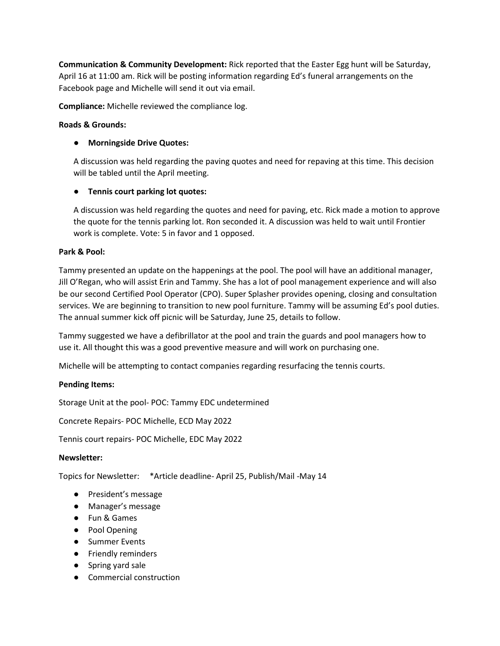**Communication & Community Development:** Rick reported that the Easter Egg hunt will be Saturday, April 16 at 11:00 am. Rick will be posting information regarding Ed's funeral arrangements on the Facebook page and Michelle will send it out via email.

**Compliance:** Michelle reviewed the compliance log.

### **Roads & Grounds:**

# ● **Morningside Drive Quotes:**

A discussion was held regarding the paving quotes and need for repaving at this time. This decision will be tabled until the April meeting.

# ● **Tennis court parking lot quotes:**

A discussion was held regarding the quotes and need for paving, etc. Rick made a motion to approve the quote for the tennis parking lot. Ron seconded it. A discussion was held to wait until Frontier work is complete. Vote: 5 in favor and 1 opposed.

### **Park & Pool:**

Tammy presented an update on the happenings at the pool. The pool will have an additional manager, Jill O'Regan, who will assist Erin and Tammy. She has a lot of pool management experience and will also be our second Certified Pool Operator (CPO). Super Splasher provides opening, closing and consultation services. We are beginning to transition to new pool furniture. Tammy will be assuming Ed's pool duties. The annual summer kick off picnic will be Saturday, June 25, details to follow.

Tammy suggested we have a defibrillator at the pool and train the guards and pool managers how to use it. All thought this was a good preventive measure and will work on purchasing one.

Michelle will be attempting to contact companies regarding resurfacing the tennis courts.

### **Pending Items:**

Storage Unit at the pool- POC: Tammy EDC undetermined

Concrete Repairs- POC Michelle, ECD May 2022

Tennis court repairs- POC Michelle, EDC May 2022

### **Newsletter:**

Topics for Newsletter: \*Article deadline- April 25, Publish/Mail -May 14

- President's message
- Manager's message
- Fun & Games
- Pool Opening
- Summer Events
- Friendly reminders
- Spring yard sale
- Commercial construction